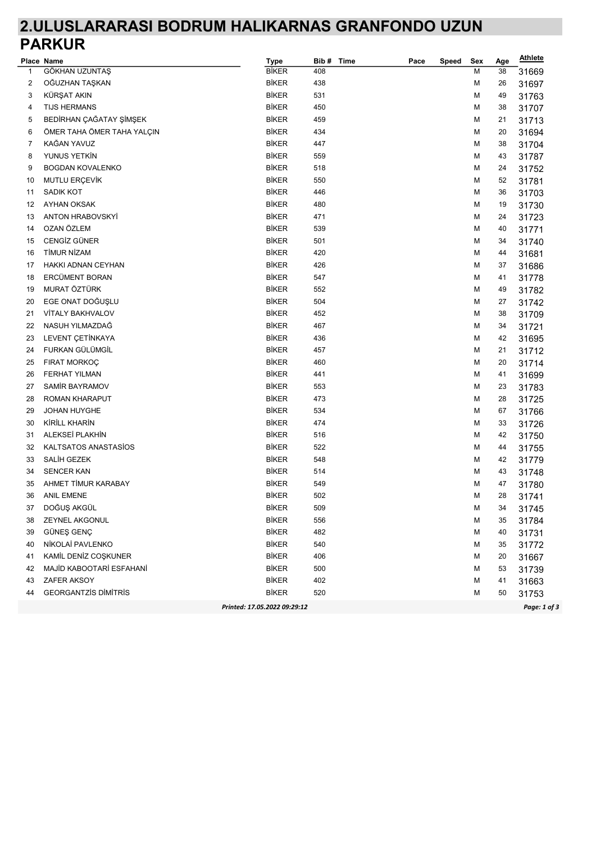## 2.ULUSLARARASI BODRUM HALIKARNAS GRANFONDO UZUN PARKUR

|    | Place Name                  | <b>Type</b>                  | Bib#<br>Time | Pace | Speed | Sex | Age | <b>Athlete</b> |
|----|-----------------------------|------------------------------|--------------|------|-------|-----|-----|----------------|
| 1  | GÖKHAN UZUNTAŞ              | <b>BİKER</b>                 | 408          |      |       | M   | 38  | 31669          |
| 2  | OĞUZHAN TAŞKAN              | BİKER                        | 438          |      |       | М   | 26  | 31697          |
| 3  | KÜRŞAT AKIN                 | <b>BİKER</b>                 | 531          |      |       | M   | 49  | 31763          |
| 4  | <b>TIJS HERMANS</b>         | <b>BİKER</b>                 | 450          |      |       | М   | 38  | 31707          |
| 5  | BEDİRHAN ÇAĞATAY ŞİMŞEK     | <b>BİKER</b>                 | 459          |      |       | M   | 21  | 31713          |
| 6  | ÖMER TAHA ÖMER TAHA YALÇIN  | BİKER                        | 434          |      |       | M   | 20  | 31694          |
| 7  | KAĞAN YAVUZ                 | <b>BİKER</b>                 | 447          |      |       | М   | 38  | 31704          |
| 8  | YUNUS YETKİN                | <b>BİKER</b>                 | 559          |      |       | M   | 43  | 31787          |
| 9  | <b>BOGDAN KOVALENKO</b>     | <b>BİKER</b>                 | 518          |      |       | M   | 24  | 31752          |
| 10 | MUTLU ERÇEVİK               | <b>BİKER</b>                 | 550          |      |       | M   | 52  | 31781          |
| 11 | SADIK KOT                   | <b>BİKER</b>                 | 446          |      |       | М   | 36  | 31703          |
| 12 | <b>AYHAN OKSAK</b>          | <b>BİKER</b>                 | 480          |      |       | М   | 19  | 31730          |
| 13 | <b>ANTON HRABOVSKYI</b>     | <b>BİKER</b>                 | 471          |      |       | М   | 24  | 31723          |
| 14 | OZAN ÖZLEM                  | <b>BİKER</b>                 | 539          |      |       | М   | 40  | 31771          |
| 15 | CENGIZ GÜNER                | <b>BİKER</b>                 | 501          |      |       | М   | 34  | 31740          |
| 16 | <b>TİMUR NİZAM</b>          | <b>BİKER</b>                 | 420          |      |       | М   | 44  | 31681          |
| 17 | HAKKI ADNAN CEYHAN          | <b>BİKER</b>                 | 426          |      |       | M   | 37  | 31686          |
| 18 | ERCÜMENT BORAN              | <b>BİKER</b>                 | 547          |      |       | M   | 41  | 31778          |
| 19 | MURAT ÖZTÜRK                | <b>BİKER</b>                 | 552          |      |       | M   | 49  | 31782          |
| 20 | EGE ONAT DOĞUŞLU            | <b>BİKER</b>                 | 504          |      |       | M   | 27  | 31742          |
| 21 | VİTALY BAKHVALOV            | <b>BİKER</b>                 | 452          |      |       | M   | 38  | 31709          |
| 22 | NASUH YILMAZDAĞ             | <b>BİKER</b>                 | 467          |      |       | М   | 34  | 31721          |
| 23 | LEVENT ÇETİNKAYA            | <b>BİKER</b>                 | 436          |      |       | M   | 42  | 31695          |
| 24 | FURKAN GÜLÜMGİL             | <b>BİKER</b>                 | 457          |      |       | м   | 21  | 31712          |
| 25 | FIRAT MORKOÇ                | <b>BİKER</b>                 | 460          |      |       | М   | 20  | 31714          |
| 26 | <b>FERHAT YILMAN</b>        | <b>BİKER</b>                 | 441          |      |       | м   | 41  | 31699          |
| 27 | SAMIR BAYRAMOV              | <b>BİKER</b>                 | 553          |      |       | М   | 23  | 31783          |
| 28 | ROMAN KHARAPUT              | <b>BİKER</b>                 | 473          |      |       | М   | 28  | 31725          |
| 29 | <b>JOHAN HUYGHE</b>         | <b>BİKER</b>                 | 534          |      |       | М   | 67  | 31766          |
| 30 | KİRİLL KHARİN               | <b>BİKER</b>                 | 474          |      |       | М   | 33  | 31726          |
| 31 | ALEKSEİ PLAKHİN             | <b>BİKER</b>                 | 516          |      |       | М   | 42  | 31750          |
| 32 | KALTSATOS ANASTASIOS        | <b>BİKER</b>                 | 522          |      |       | М   | 44  | 31755          |
| 33 | SALİH GEZEK                 | <b>BİKER</b>                 | 548          |      |       | М   | 42  | 31779          |
| 34 | <b>SENCER KAN</b>           | <b>BİKER</b>                 | 514          |      |       | М   | 43  | 31748          |
| 35 | AHMET TİMUR KARABAY         | <b>BİKER</b>                 | 549          |      |       | М   | 47  | 31780          |
| 36 | <b>ANIL EMENE</b>           | <b>BİKER</b>                 | 502          |      |       | М   | 28  | 31741          |
| 37 | DOĞUŞ AKGÜL                 | <b>BİKER</b>                 | 509          |      |       | М   | 34  | 31745          |
| 38 | <b>ZEYNEL AKGONUL</b>       | <b>BİKER</b>                 | 556          |      |       | M   | 35  | 31784          |
| 39 | GÜNEŞ GENÇ                  | <b>BİKER</b>                 | 482          |      |       | М   | 40  | 31731          |
| 40 | NİKOLAİ PAVLENKO            | <b>BİKER</b>                 | 540          |      |       | м   | 35  | 31772          |
| 41 | KAMİL DENİZ COŞKUNER        | <b>BİKER</b>                 | 406          |      |       | M   | 20  | 31667          |
| 42 | MAJİD KABOOTARİ ESFAHANİ    | <b>BİKER</b>                 | 500          |      |       | м   | 53  | 31739          |
| 43 | ZAFER AKSOY                 | <b>BİKER</b>                 | 402          |      |       | М   | 41  | 31663          |
| 44 | <b>GEORGANTZIS DIMITRIS</b> | <b>BİKER</b>                 | 520          |      |       | М   | 50  | 31753          |
|    |                             | Printed: 17.05.2022 09:29:12 |              |      |       |     |     | Page: 1 of 3   |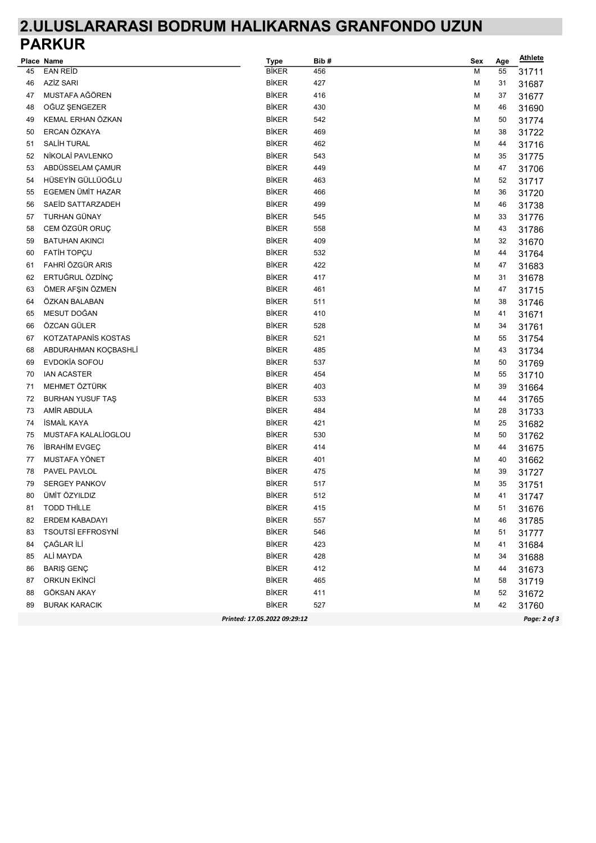## 2.ULUSLARARASI BODRUM HALIKARNAS GRANFONDO UZUN PARKUR

|    | Place Name               | <b>Type</b>                  | Bib# | Sex | Age | <b>Athlete</b> |
|----|--------------------------|------------------------------|------|-----|-----|----------------|
| 45 | <b>EAN REID</b>          | <b>BİKER</b>                 | 456  | М   | 55  | 31711          |
| 46 | <b>AZİZ SARI</b>         | <b>BİKER</b>                 | 427  | М   | 31  | 31687          |
| 47 | MUSTAFA AĞÖREN           | <b>BİKER</b>                 | 416  | M   | 37  | 31677          |
| 48 | OĞUZ ŞENGEZER            | <b>BİKER</b>                 | 430  | M   | 46  | 31690          |
| 49 | KEMAL ERHAN ÖZKAN        | <b>BİKER</b>                 | 542  | M   | 50  | 31774          |
| 50 | ERCAN ÖZKAYA             | <b>BİKER</b>                 | 469  | М   | 38  | 31722          |
| 51 | SALİH TURAL              | <b>BİKER</b>                 | 462  | M   | 44  | 31716          |
| 52 | NİKOLAİ PAVLENKO         | <b>BİKER</b>                 | 543  | M   | 35  | 31775          |
| 53 | ABDÜSSELAM ÇAMUR         | <b>BİKER</b>                 | 449  | M   | 47  | 31706          |
| 54 | HÜSEYİN GÜLLÜOĞLU        | <b>BİKER</b>                 | 463  | м   | 52  | 31717          |
| 55 | EGEMEN ÜMİT HAZAR        | <b>BİKER</b>                 | 466  | М   | 36  | 31720          |
| 56 | SAEID SATTARZADEH        | <b>BİKER</b>                 | 499  | М   | 46  | 31738          |
| 57 | TURHAN GÜNAY             | <b>BİKER</b>                 | 545  | М   | 33  | 31776          |
| 58 | CEM ÖZGÜR ORUÇ           | <b>BİKER</b>                 | 558  | M   | 43  | 31786          |
| 59 | <b>BATUHAN AKINCI</b>    | <b>BİKER</b>                 | 409  | М   | 32  | 31670          |
| 60 | <b>FATIH TOPÇU</b>       | <b>BİKER</b>                 | 532  | M   | 44  | 31764          |
| 61 | FAHRİ ÖZGÜR ARIS         | <b>BİKER</b>                 | 422  | М   | 47  | 31683          |
| 62 | ERTUĞRUL ÖZDİNÇ          | <b>BİKER</b>                 | 417  | М   | 31  | 31678          |
| 63 | ÖMER AFŞIN ÖZMEN         | <b>BİKER</b>                 | 461  | М   | 47  | 31715          |
| 64 | ÖZKAN BALABAN            | <b>BİKER</b>                 | 511  | м   | 38  | 31746          |
| 65 | MESUT DOĞAN              | <b>BİKER</b>                 | 410  | М   | 41  | 31671          |
| 66 | ÖZCAN GÜLER              | <b>BİKER</b>                 | 528  | М   | 34  | 31761          |
| 67 | KOTZATAPANIS KOSTAS      | <b>BİKER</b>                 | 521  | м   | 55  | 31754          |
| 68 | ABDURAHMAN KOÇBASHLİ     | <b>BİKER</b>                 | 485  | М   | 43  | 31734          |
| 69 | <b>EVDOKÍA SOFOU</b>     | <b>BİKER</b>                 | 537  | м   | 50  | 31769          |
| 70 | <b>IAN ACASTER</b>       | <b>BİKER</b>                 | 454  | М   | 55  | 31710          |
| 71 | MEHMET ÖZTÜRK            | <b>BİKER</b>                 | 403  | М   | 39  | 31664          |
| 72 | <b>BURHAN YUSUF TAŞ</b>  | <b>BİKER</b>                 | 533  | М   | 44  | 31765          |
| 73 | AMİR ABDULA              | <b>BİKER</b>                 | 484  | М   | 28  | 31733          |
| 74 | <b>İSMAİL KAYA</b>       | <b>BİKER</b>                 | 421  | М   | 25  | 31682          |
| 75 | MUSTAFA KALALIOGLOU      | <b>BİKER</b>                 | 530  | М   | 50  | 31762          |
| 76 | <b>IBRAHIM EVGEÇ</b>     | <b>BİKER</b>                 | 414  | М   | 44  | 31675          |
| 77 | MUSTAFA YÖNET            | <b>BİKER</b>                 | 401  | М   | 40  | 31662          |
| 78 | PAVEL PAVLOL             | <b>BİKER</b>                 | 475  | М   | 39  | 31727          |
| 79 | <b>SERGEY PANKOV</b>     | <b>BİKER</b>                 | 517  | М   | 35  | 31751          |
| 80 | ÜMİT ÖZYILDIZ            | <b>BİKER</b>                 | 512  | М   | 41  | 31747          |
| 81 | TODD THİLLE              | BİKER                        | 415  | M   | 51  | 31676          |
| 82 | ERDEM KABADAYI           | <b>BİKER</b>                 | 557  | M   | 46  | 31785          |
| 83 | <b>TSOUTSI EFFROSYNI</b> | <b>BİKER</b>                 | 546  | M   | 51  | 31777          |
| 84 | ÇAĞLAR İLİ               | <b>BİKER</b>                 | 423  | М   | 41  | 31684          |
| 85 | ALİ MAYDA                | <b>BİKER</b>                 | 428  | М   | 34  | 31688          |
| 86 | <b>BARIŞ GENÇ</b>        | <b>BİKER</b>                 | 412  | М   | 44  | 31673          |
| 87 | <b>ORKUN EKİNCİ</b>      | <b>BİKER</b>                 | 465  | М   | 58  | 31719          |
| 88 | GÖKSAN AKAY              | <b>BİKER</b>                 | 411  | М   | 52  | 31672          |
| 89 | <b>BURAK KARACIK</b>     | <b>BİKER</b>                 | 527  | М   | 42  | 31760          |
|    |                          | Printed: 17.05.2022 09:29:12 |      |     |     | Page: 2 of 3   |